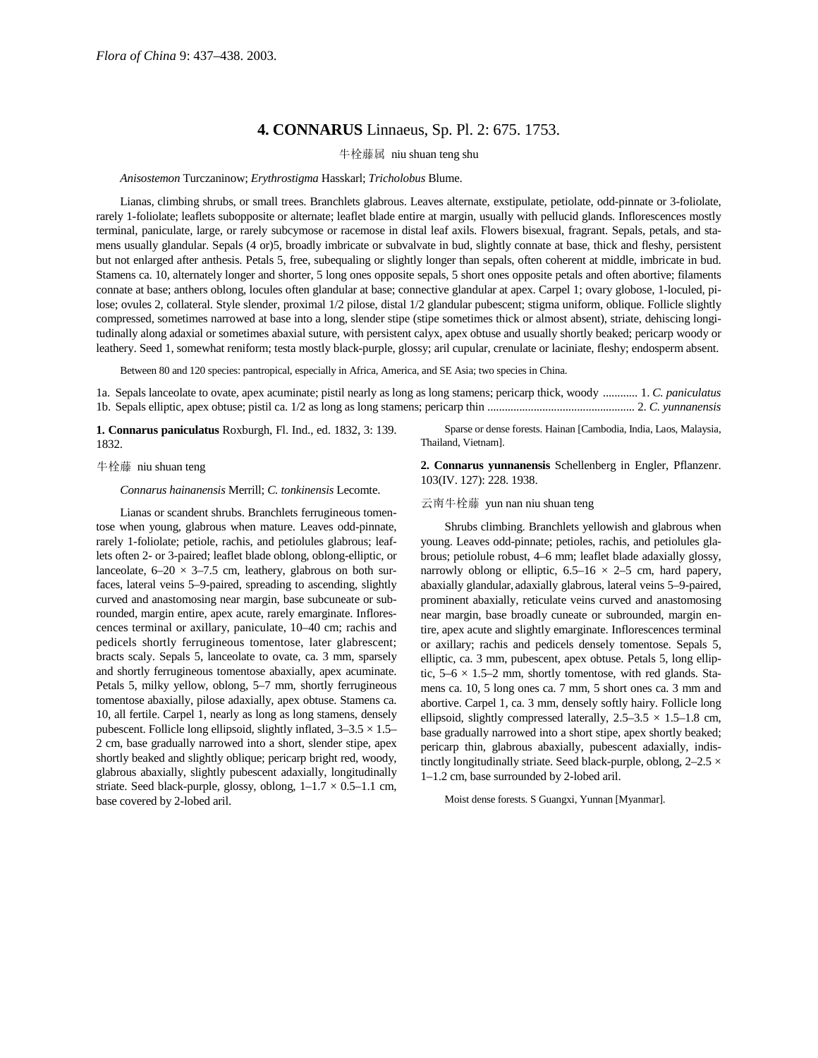## **4. CONNARUS** Linnaeus, Sp. Pl. 2: 675. 1753.

牛栓藤属 niu shuan teng shu

*Anisostemon* Turczaninow; *Erythrostigma* Hasskarl; *Tricholobus* Blume.

Lianas, climbing shrubs, or small trees. Branchlets glabrous. Leaves alternate, exstipulate, petiolate, odd-pinnate or 3-foliolate, rarely 1-foliolate; leaflets subopposite or alternate; leaflet blade entire at margin, usually with pellucid glands. Inflorescences mostly terminal, paniculate, large, or rarely subcymose or racemose in distal leaf axils. Flowers bisexual, fragrant. Sepals, petals, and stamens usually glandular. Sepals (4 or)5, broadly imbricate or subvalvate in bud, slightly connate at base, thick and fleshy, persistent but not enlarged after anthesis. Petals 5, free, subequaling or slightly longer than sepals, often coherent at middle, imbricate in bud. Stamens ca. 10, alternately longer and shorter, 5 long ones opposite sepals, 5 short ones opposite petals and often abortive; filaments connate at base; anthers oblong, locules often glandular at base; connective glandular at apex. Carpel 1; ovary globose, 1-loculed, pilose; ovules 2, collateral. Style slender, proximal 1/2 pilose, distal 1/2 glandular pubescent; stigma uniform, oblique. Follicle slightly compressed, sometimes narrowed at base into a long, slender stipe (stipe sometimes thick or almost absent), striate, dehiscing longitudinally along adaxial or sometimes abaxial suture, with persistent calyx, apex obtuse and usually shortly beaked; pericarp woody or leathery. Seed 1, somewhat reniform; testa mostly black-purple, glossy; aril cupular, crenulate or laciniate, fleshy; endosperm absent.

Between 80 and 120 species: pantropical, especially in Africa, America, and SE Asia; two species in China.

1a. Sepals lanceolate to ovate, apex acuminate; pistil nearly as long as long stamens; pericarp thick, woody ............ 1. *C. paniculatus* 1b. Sepals elliptic, apex obtuse; pistil ca. 1/2 as long as long stamens; pericarp thin ................................................... 2. *C. yunnanensis*

**1. Connarus paniculatus** Roxburgh, Fl. Ind., ed. 1832, 3: 139. 1832.

Sparse or dense forests. Hainan [Cambodia, India, Laos, Malaysia, Thailand, Vietnam].

牛栓藤 niu shuan teng

*Connarus hainanensis* Merrill; *C. tonkinensis* Lecomte.

Lianas or scandent shrubs. Branchlets ferrugineous tomentose when young, glabrous when mature. Leaves odd-pinnate, rarely 1-foliolate; petiole, rachis, and petiolules glabrous; leaflets often 2- or 3-paired; leaflet blade oblong, oblong-elliptic, or lanceolate,  $6-20 \times 3-7.5$  cm, leathery, glabrous on both surfaces, lateral veins 5–9-paired, spreading to ascending, slightly curved and anastomosing near margin, base subcuneate or subrounded, margin entire, apex acute, rarely emarginate. Inflorescences terminal or axillary, paniculate, 10–40 cm; rachis and pedicels shortly ferrugineous tomentose, later glabrescent; bracts scaly. Sepals 5, lanceolate to ovate, ca. 3 mm, sparsely and shortly ferrugineous tomentose abaxially, apex acuminate. Petals 5, milky yellow, oblong, 5–7 mm, shortly ferrugineous tomentose abaxially, pilose adaxially, apex obtuse. Stamens ca. 10, all fertile. Carpel 1, nearly as long as long stamens, densely pubescent. Follicle long ellipsoid, slightly inflated,  $3-3.5 \times 1.5-$ 2 cm, base gradually narrowed into a short, slender stipe, apex shortly beaked and slightly oblique; pericarp bright red, woody, glabrous abaxially, slightly pubescent adaxially, longitudinally striate. Seed black-purple, glossy, oblong,  $1-1.7 \times 0.5-1.1$  cm, base covered by 2-lobed aril.

**2. Connarus yunnanensis** Schellenberg in Engler, Pflanzenr. 103(IV. 127): 228. 1938.

云南牛栓藤 yun nan niu shuan teng

Shrubs climbing. Branchlets yellowish and glabrous when young. Leaves odd-pinnate; petioles, rachis, and petiolules glabrous; petiolule robust, 4–6 mm; leaflet blade adaxially glossy, narrowly oblong or elliptic,  $6.5-16 \times 2-5$  cm, hard papery, abaxially glandular, adaxially glabrous, lateral veins 5–9-paired, prominent abaxially, reticulate veins curved and anastomosing near margin, base broadly cuneate or subrounded, margin entire, apex acute and slightly emarginate. Inflorescences terminal or axillary; rachis and pedicels densely tomentose. Sepals 5, elliptic, ca. 3 mm, pubescent, apex obtuse. Petals 5, long elliptic,  $5-6 \times 1.5-2$  mm, shortly tomentose, with red glands. Stamens ca. 10, 5 long ones ca. 7 mm, 5 short ones ca. 3 mm and abortive. Carpel 1, ca. 3 mm, densely softly hairy. Follicle long ellipsoid, slightly compressed laterally,  $2.5-3.5 \times 1.5-1.8$  cm, base gradually narrowed into a short stipe, apex shortly beaked; pericarp thin, glabrous abaxially, pubescent adaxially, indistinctly longitudinally striate. Seed black-purple, oblong,  $2-2.5 \times$ 1–1.2 cm, base surrounded by 2-lobed aril.

Moist dense forests. S Guangxi, Yunnan [Myanmar].